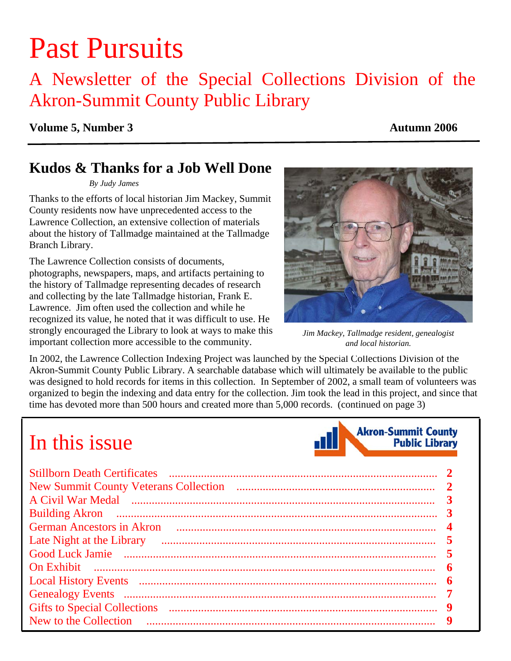# Past Pursuits

## A Newsletter of the Special Collections Division of the Akron-Summit County Public Library

#### **Volume 5, Number 3** Autumn 2006

### **Kudos & Thanks for a Job Well Done**

*By Judy James* 

Thanks to the efforts of local historian Jim Mackey, Summit County residents now have unprecedented access to the Lawrence Collection, an extensive collection of materials about the history of Tallmadge maintained at the Tallmadge Branch Library.

The Lawrence Collection consists of documents, photographs, newspapers, maps, and artifacts pertaining to the history of Tallmadge representing decades of research and collecting by the late Tallmadge historian, Frank E. Lawrence. Jim often used the collection and while he recognized its value, he noted that it was difficult to use. He strongly encouraged the Library to look at ways to make this important collection more accessible to the community.



*Jim Mackey, Tallmadge resident, genealogist and local historian.* 

In 2002, the Lawrence Collection Indexing Project was launched by the Special Collections Division of the Akron-Summit County Public Library. A searchable database which will ultimately be available to the public was designed to hold records for items in this collection. In September of 2002, a small team of volunteers was organized to begin the indexing and data entry for the collection. Jim took the lead in this project, and since that time has devoted more than 500 hours and created more than 5,000 records. [\(continued on page 3\)](#page-2-0) 

# In this issue



| Late Night at the Library |   |
|---------------------------|---|
|                           |   |
|                           | 6 |
|                           |   |
|                           |   |
|                           |   |
|                           |   |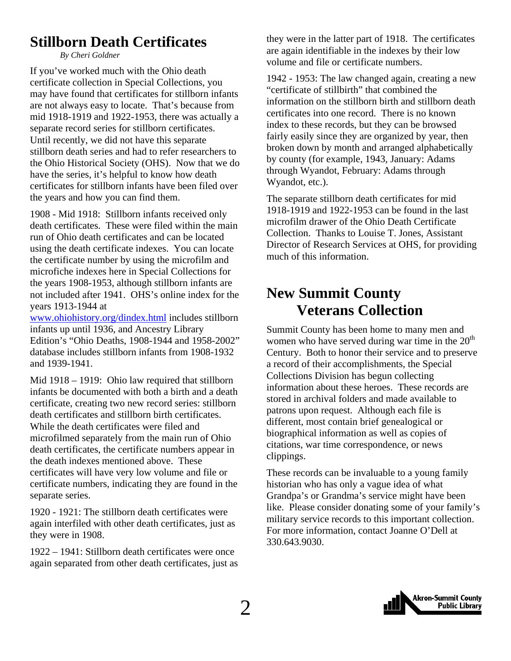### <span id="page-1-0"></span>**Stillborn Death Certificates**

*By Cheri Goldner* 

If you've worked much with the Ohio death certificate collection in Special Collections, you may have found that certificates for stillborn infants are not always easy to locate. That's because from mid 1918-1919 and 1922-1953, there was actually a separate record series for stillborn certificates. Until recently, we did not have this separate stillborn death series and had to refer researchers to the Ohio Historical Society (OHS). Now that we do have the series, it's helpful to know how death certificates for stillborn infants have been filed over the years and how you can find them.

1908 - Mid 1918: Stillborn infants received only death certificates. These were filed within the main run of Ohio death certificates and can be located using the death certificate indexes. You can locate the certificate number by using the microfilm and microfiche indexes here in Special Collections for the years 1908-1953, although stillborn infants are not included after 1941. OHS's online index for the years 1913-1944 at

[www.ohiohistory.org/dindex.html](http://www.ohiohistory.org/dindex.html) includes stillborn infants up until 1936, and Ancestry Library Edition's "Ohio Deaths, 1908-1944 and 1958-2002" database includes stillborn infants from 1908-1932 and 1939-1941.

Mid 1918 – 1919: Ohio law required that stillborn infants be documented with both a birth and a death certificate, creating two new record series: stillborn death certificates and stillborn birth certificates. While the death certificates were filed and microfilmed separately from the main run of Ohio death certificates, the certificate numbers appear in the death indexes mentioned above. These certificates will have very low volume and file or certificate numbers, indicating they are found in the separate series.

1920 - 1921: The stillborn death certificates were again interfiled with other death certificates, just as they were in 1908.

1922 – 1941: Stillborn death certificates were once again separated from other death certificates, just as they were in the latter part of 1918. The certificates are again identifiable in the indexes by their low volume and file or certificate numbers.

1942 - 1953: The law changed again, creating a new "certificate of stillbirth" that combined the information on the stillborn birth and stillborn death certificates into one record. There is no known index to these records, but they can be browsed fairly easily since they are organized by year, then broken down by month and arranged alphabetically by county (for example, 1943, January: Adams through Wyandot, February: Adams through Wyandot, etc.).

The separate stillborn death certificates for mid 1918-1919 and 1922-1953 can be found in the last microfilm drawer of the Ohio Death Certificate Collection. Thanks to Louise T. Jones, Assistant Director of Research Services at OHS, for providing much of this information.

### **New Summit County Veterans Collection**

Summit County has been home to many men and women who have served during war time in the  $20<sup>th</sup>$ Century. Both to honor their service and to preserve a record of their accomplishments, the Special Collections Division has begun collecting information about these heroes. These records are stored in archival folders and made available to patrons upon request. Although each file is different, most contain brief genealogical or biographical information as well as copies of citations, war time correspondence, or news clippings.

These records can be invaluable to a young family historian who has only a vague idea of what Grandpa's or Grandma's service might have been like. Please consider donating some of your family's military service records to this important collection. For more information, contact Joanne O'Dell at 330.643.9030.

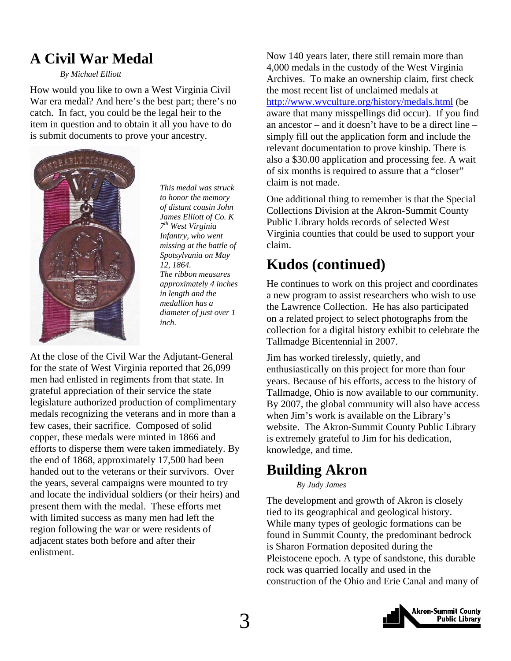### <span id="page-2-0"></span>**A Civil War Medal**

#### *By Michael Elliott*

How would you like to own a West Virginia Civil War era medal? And here's the best part; there's no catch. In fact, you could be the legal heir to the item in question and to obtain it all you have to do is submit documents to prove your ancestry.



*to honor the memory of distant cousin John James Elliott of Co. K 7th West Virginia Infantry, who went missing at the battle of Spotsylvania on May 12, 1864. The ribbon measures approximately 4 inches in length and the medallion has a diameter of just over 1 inch.* 

At the close of the Civil War the Adjutant-General for the state of West Virginia reported that 26,099 men had enlisted in regiments from that state. In grateful appreciation of their service the state legislature authorized production of complimentary medals recognizing the veterans and in more than a few cases, their sacrifice. Composed of solid copper, these medals were minted in 1866 and efforts to disperse them were taken immediately. By the end of 1868, approximately 17,500 had been handed out to the veterans or their survivors. Over the years, several campaigns were mounted to try and locate the individual soldiers (or their heirs) and present them with the medal. These efforts met with limited success as many men had left the region following the war or were residents of adjacent states both before and after their enlistment.

Now 140 years later, there still remain more than 4,000 medals in the custody of the West Virginia Archives. To make an ownership claim, first check the most recent list of unclaimed medals at <http://www.wvculture.org/history/medals.html> (be aware that many misspellings did occur). If you find an ancestor – and it doesn't have to be a direct line – simply fill out the application form and include the relevant documentation to prove kinship. There is also a \$30.00 application and processing fee. A wait of six months is required to assure that a "closer" claim is not made. *This medal was struck* 

> One additional thing to remember is that the Special Collections Division at the Akron-Summit County Public Library holds records of selected West Virginia counties that could be used to support your claim.

### **Kudos (continued)**

He continues to work on this project and coordinates a new program to assist researchers who wish to use the Lawrence Collection. He has also participated on a related project to select photographs from the collection for a digital history exhibit to celebrate the Tallmadge Bicentennial in 2007.

Jim has worked tirelessly, quietly, and enthusiastically on this project for more than four years. Because of his efforts, access to the history of Tallmadge, Ohio is now available to our community. By 2007, the global community will also have access when Jim's work is available on the Library's website. The Akron-Summit County Public Library is extremely grateful to Jim for his dedication, knowledge, and time.

### **Building Akron**

*By Judy James* 

The development and growth of Akron is closely tied to its geographical and geological history. While many types of geologic formations can be found in Summit County, the predominant bedrock is Sharon Formation deposited during the Pleistocene epoch. A type of sandstone, this durable rock was quarried locally and used in the construction of the Ohio and Erie Canal and many of

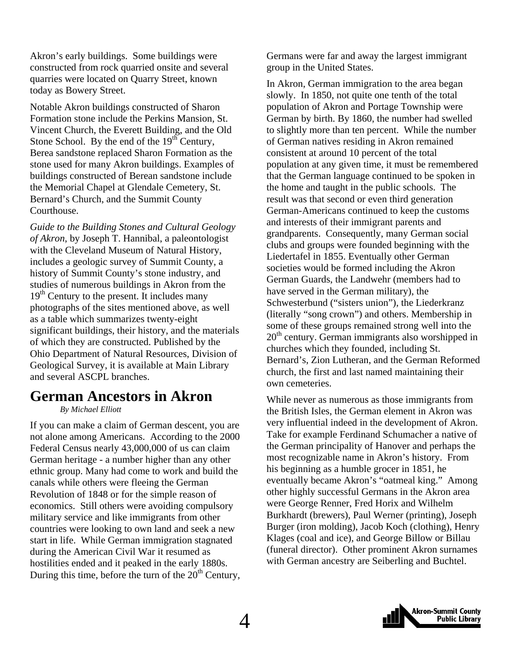<span id="page-3-0"></span>Akron's early buildings. Some buildings were constructed from rock quarried onsite and several quarries were located on Quarry Street, known today as Bowery Street.

Notable Akron buildings constructed of Sharon Formation stone include the Perkins Mansion, St. Vincent Church, the Everett Building, and the Old Stone School. By the end of the  $19<sup>th</sup>$  Century, Berea sandstone replaced Sharon Formation as the stone used for many Akron buildings. Examples of buildings constructed of Berean sandstone include the Memorial Chapel at Glendale Cemetery, St. Bernard's Church, and the Summit County Courthouse.

*Guide to the Building Stones and Cultural Geology of Akron*, by Joseph T. Hannibal, a paleontologist with the Cleveland Museum of Natural History, includes a geologic survey of Summit County, a history of Summit County's stone industry, and studies of numerous buildings in Akron from the  $19<sup>th</sup>$  Century to the present. It includes many photographs of the sites mentioned above, as well as a table which summarizes twenty-eight significant buildings, their history, and the materials of which they are constructed. Published by the Ohio Department of Natural Resources, Division of Geological Survey, it is available at Main Library and several ASCPL branches.

### **German Ancestors in Akron**

 *By Michael Elliott* 

If you can make a claim of German descent, you are not alone among Americans. According to the 2000 Federal Census nearly 43,000,000 of us can claim German heritage - a number higher than any other ethnic group. Many had come to work and build the canals while others were fleeing the German Revolution of 1848 or for the simple reason of economics. Still others were avoiding compulsory military service and like immigrants from other countries were looking to own land and seek a new start in life. While German immigration stagnated during the American Civil War it resumed as hostilities ended and it peaked in the early 1880s. During this time, before the turn of the  $20<sup>th</sup>$  Century, Germans were far and away the largest immigrant group in the United States.

In Akron, German immigration to the area began slowly. In 1850, not quite one tenth of the total population of Akron and Portage Township were German by birth. By 1860, the number had swelled to slightly more than ten percent. While the number of German natives residing in Akron remained consistent at around 10 percent of the total population at any given time, it must be remembered that the German language continued to be spoken in the home and taught in the public schools. The result was that second or even third generation German-Americans continued to keep the customs and interests of their immigrant parents and grandparents. Consequently, many German social clubs and groups were founded beginning with the Liedertafel in 1855. Eventually other German societies would be formed including the Akron German Guards, the Landwehr (members had to have served in the German military), the Schwesterbund ("sisters union"), the Liederkranz (literally "song crown") and others. Membership in some of these groups remained strong well into the  $20<sup>th</sup>$  century. German immigrants also worshipped in churches which they founded, including St. Bernard's, Zion Lutheran, and the German Reformed church, the first and last named maintaining their own cemeteries.

While never as numerous as those immigrants from the British Isles, the German element in Akron was very influential indeed in the development of Akron. Take for example Ferdinand Schumacher a native of the German principality of Hanover and perhaps the most recognizable name in Akron's history. From his beginning as a humble grocer in 1851, he eventually became Akron's "oatmeal king." Among other highly successful Germans in the Akron area were George Renner, Fred Horix and Wilhelm Burkhardt (brewers), Paul Werner (printing), Joseph Burger (iron molding), Jacob Koch (clothing), Henry Klages (coal and ice), and George Billow or Billau (funeral director). Other prominent Akron surnames with German ancestry are Seiberling and Buchtel.

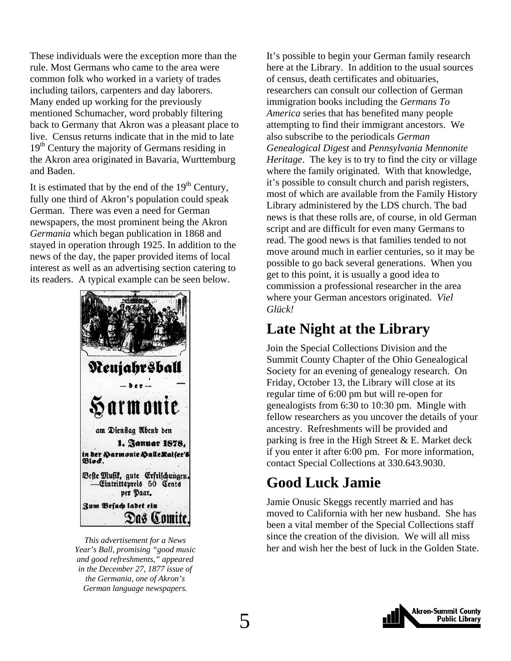<span id="page-4-0"></span>These individuals were the exception more than the rule. Most Germans who came to the area were common folk who worked in a variety of trades including tailors, carpenters and day laborers. Many ended up working for the previously mentioned Schumacher, word probably filtering back to Germany that Akron was a pleasant place to live. Census returns indicate that in the mid to late 19<sup>th</sup> Century the majority of Germans residing in the Akron area originated in Bavaria, Wurttemburg and Baden.

It is estimated that by the end of the  $19<sup>th</sup>$  Century, fully one third of Akron's population could speak German. There was even a need for German newspapers, the most prominent being the Akron *Germania* which began publication in 1868 and stayed in operation through 1925. In addition to the news of the day, the paper provided items of local interest as well as an advertising section catering to its readers. A typical example can be seen below.



*Year's Ball, promising "good music and good refreshments," appeared in the December 27, 1877 issue of the Germania, one of Akron's German language newspapers.* 

It's possible to begin your German family research here at the Library. In addition to the usual sources of census, death certificates and obituaries, researchers can consult our collection of German immigration books including the *Germans To America* series that has benefited many people attempting to find their immigrant ancestors. We also subscribe to the periodicals *German Genealogical Digest* and *Pennsylvania Mennonite Heritage*. The key is to try to find the city or village where the family originated. With that knowledge, it's possible to consult church and parish registers, most of which are available from the Family History Library administered by the LDS church. The bad news is that these rolls are, of course, in old German script and are difficult for even many Germans to read. The good news is that families tended to not move around much in earlier centuries, so it may be possible to go back several generations. When you get to this point, it is usually a good idea to commission a professional researcher in the area where your German ancestors originated. *Viel Glück!*

### **Late Night at the Library**

Join the Special Collections Division and the Summit County Chapter of the Ohio Genealogical Society for an evening of genealogy research. On Friday, October 13, the Library will close at its regular time of 6:00 pm but will re-open for genealogists from 6:30 to 10:30 pm. Mingle with fellow researchers as you uncover the details of your ancestry. Refreshments will be provided and parking is free in the High Street  $& E.$  Market deck if you enter it after 6:00 pm. For more information, contact Special Collections at 330.643.9030.

### **Good Luck Jamie**

Jamie Onusic Skeggs recently married and has moved to California with her new husband. She has been a vital member of the Special Collections staff since the creation of the division. We will all miss *her and we for a News* and the since the creation of the division. We will all find the Golden State. *This advertisement for a News* **her and wish her the best of luck in the Golden State.** 

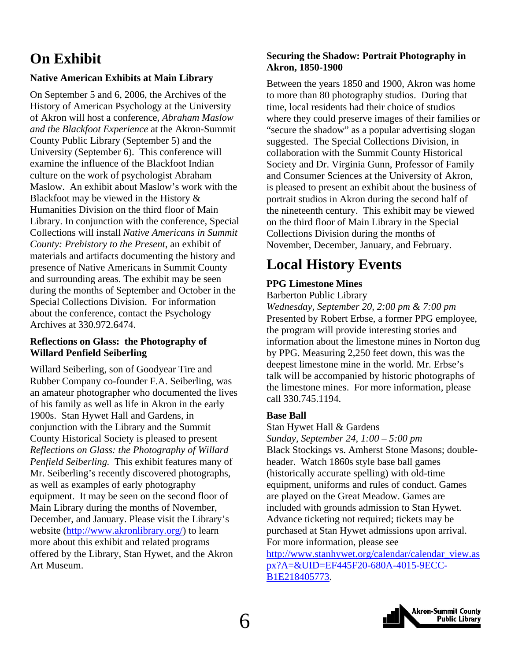### <span id="page-5-0"></span>**On Exhibit**

#### **Native American Exhibits at Main Library**

On September 5 and 6, 2006, the Archives of the History of American Psychology at the University of Akron will host a conference, *Abraham Maslow and the Blackfoot Experience* at the Akron-Summit County Public Library (September 5) and the University (September 6). This conference will examine the influence of the Blackfoot Indian culture on the work of psychologist Abraham Maslow. An exhibit about Maslow's work with the Blackfoot may be viewed in the History & Humanities Division on the third floor of Main Library. In conjunction with the conference, Special Collections will install *Native Americans in Summit County: Prehistory to the Present*, an exhibit of materials and artifacts documenting the history and presence of Native Americans in Summit County and surrounding areas. The exhibit may be seen during the months of September and October in the Special Collections Division. For information about the conference, contact the Psychology Archives at 330.972.6474.

#### **Reflections on Glass: the Photography of Willard Penfield Seiberling**

Willard Seiberling, son of Goodyear Tire and Rubber Company co-founder F.A. Seiberling, was an amateur photographer who documented the lives of his family as well as life in Akron in the early 1900s. Stan Hywet Hall and Gardens, in conjunction with the Library and the Summit County Historical Society is pleased to present *Reflections on Glass: the Photography of Willard Penfield Seiberling.* This exhibit features many of Mr. Seiberling's recently discovered photographs, as well as examples of early photography equipment. It may be seen on the second floor of Main Library during the months of November, December, and January. Please visit the Library's website (<http://www.akronlibrary.org/>) to learn more about this exhibit and related programs offered by the Library, Stan Hywet, and the Akron Art Museum.

#### **Securing the Shadow: Portrait Photography in Akron, 1850-1900**

Between the years 1850 and 1900, Akron was home to more than 80 photography studios. During that time, local residents had their choice of studios where they could preserve images of their families or "secure the shadow" as a popular advertising slogan suggested. The Special Collections Division, in collaboration with the Summit County Historical Society and Dr. Virginia Gunn, Professor of Family and Consumer Sciences at the University of Akron, is pleased to present an exhibit about the business of portrait studios in Akron during the second half of the nineteenth century. This exhibit may be viewed on the third floor of Main Library in the Special Collections Division during the months of November, December, January, and February.

### **Local History Events**

#### **PPG Limestone Mines**

Barberton Public Library

*Wednesday, September 20, 2:00 pm & 7:00 pm*  Presented by Robert Erbse, a former PPG employee, the program will provide interesting stories and information about the limestone mines in Norton dug by PPG. Measuring 2,250 feet down, this was the deepest limestone mine in the world. Mr. Erbse's talk will be accompanied by historic photographs of the limestone mines. For more information, please call 330.745.1194.

#### **Base Ball**

Stan Hywet Hall & Gardens

*Sunday, September 24, 1:00 – 5:00 pm*  Black Stockings vs. Amherst Stone Masons; doubleheader. Watch 1860s style base ball games (historically accurate spelling) with old-time equipment, uniforms and rules of conduct. Games are played on the Great Meadow. Games are included with grounds admission to Stan Hywet. Advance ticketing not required; tickets may be purchased at Stan Hywet admissions upon arrival. For more information, please see [http://www.stanhywet.org/calendar/calendar\\_view.as](http://www.stanhywet.org/calendar/calendar_view.aspx?A=&UID=EF445F20-680A-4015-9ECC-B1E218405773) [px?A=&UID=EF445F20-680A-4015-9ECC-](http://www.stanhywet.org/calendar/calendar_view.aspx?A=&UID=EF445F20-680A-4015-9ECC-B1E218405773)



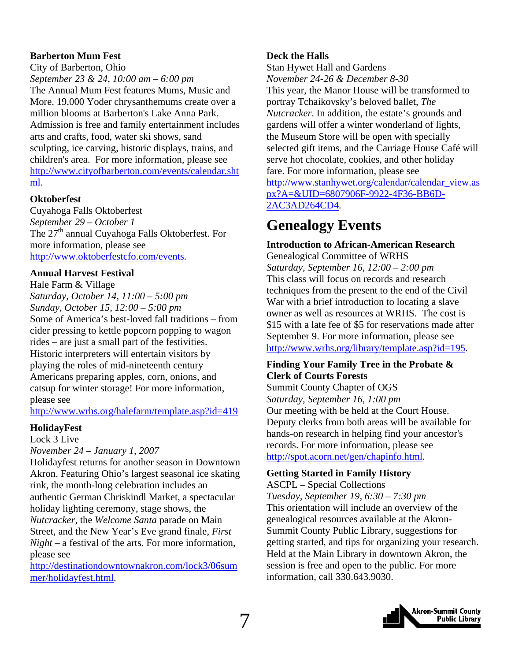#### <span id="page-6-0"></span>**Barberton Mum Fest**

City of Barberton, Ohio *September 23 & 24, 10:00 am – 6:00 pm*  The Annual Mum Fest features Mums, Music and More. 19,000 Yoder chrysanthemums create over a million blooms at Barberton's Lake Anna Park. Admission is free and family entertainment includes arts and crafts, food, water ski shows, sand sculpting, ice carving, historic displays, trains, and children's area. For more information, please see [http://www.cityofbarberton.com/events/calendar.sht](http://www.cityofbarberton.com/events/calendar.shtml) [ml](http://www.cityofbarberton.com/events/calendar.shtml).

#### **Oktoberfest**

Cuyahoga Falls Oktoberfest *September 29 – October 1*  The 27<sup>th</sup> annual Cuyahoga Falls Oktoberfest. For more information, please see [http://www.oktoberfestcfo.com/events.](http://www.oktoberfestcfo.com/events)

#### **Annual Harvest Festival**

Hale Farm & Village *Saturday, October 14, 11:00 – 5:00 pm Sunday, October 15, 12:00 – 5:00 pm*  Some of America's best-loved fall traditions – from cider pressing to kettle popcorn popping to wagon rides – are just a small part of the festivities. Historic interpreters will entertain visitors by playing the roles of mid-nineteenth century Americans preparing apples, corn, onions, and catsup for winter storage! For more information, please see

#### <http://www.wrhs.org/halefarm/template.asp?id=419>

#### **HolidayFest**

Lock 3 Live

#### *November 24 – January 1, 2007*

Holidayfest returns for another season in Downtown Akron. Featuring Ohio's largest seasonal ice skating rink, the month-long celebration includes an authentic German Chriskindl Market, a spectacular holiday lighting ceremony, stage shows, the *Nutcracker,* the *Welcome Santa* parade on Main Street, and the New Year's Eve grand finale, *First Night –* a festival of the arts. For more information, please see

[http://destinationdowntownakron.com/lock3/06sum](http://destinationdowntownakron.com/lock3/06summer/holidayfest.html) [mer/holidayfest.html](http://destinationdowntownakron.com/lock3/06summer/holidayfest.html).

#### **Deck the Halls**

Stan Hywet Hall and Gardens *November 24-26 & December 8-30* 

This year, the Manor House will be transformed to portray Tchaikovsky's beloved ballet, *The Nutcracker*. In addition, the estate's grounds and gardens will offer a winter wonderland of lights, the Museum Store will be open with specially selected gift items, and the Carriage House Café will serve hot chocolate, cookies, and other holiday fare. For more information, please see [http://www.stanhywet.org/calendar/calendar\\_view.as](http://www.stanhywet.org/calendar/calendar_view.aspx?A=&UID=6807906F-9922-4F36-BB6D-2AC3AD264CD4) [px?A=&UID=6807906F-9922-4F36-BB6D-](http://www.stanhywet.org/calendar/calendar_view.aspx?A=&UID=6807906F-9922-4F36-BB6D-2AC3AD264CD4)[2AC3AD264CD4](http://www.stanhywet.org/calendar/calendar_view.aspx?A=&UID=6807906F-9922-4F36-BB6D-2AC3AD264CD4).

### **Genealogy Events**

#### **Introduction to African-American Research**

Genealogical Committee of WRHS *Saturday, September 16, 12:00 – 2:00 pm*  This class will focus on records and research techniques from the present to the end of the Civil War with a brief introduction to locating a slave owner as well as resources at WRHS. The cost is \$15 with a late fee of \$5 for reservations made after September 9. For more information, please see [http://www.wrhs.org/library/template.asp?id=195.](http://www.wrhs.org/library/template.asp?id=195)

#### **Finding Your Family Tree in the Probate & Clerk of Courts Forests**

Summit County Chapter of OGS *Saturday, September 16, 1:00 pm*  Our meeting with be held at the Court House. Deputy clerks from both areas will be available for hands-on research in helping find your ancestor's records. For more information, please see <http://spot.acorn.net/gen/chapinfo.html>.

#### **Getting Started in Family History**

ASCPL – Special Collections *Tuesday, September 19, 6:30 – 7:30 pm*  This orientation will include an overview of the genealogical resources available at the Akron-Summit County Public Library, suggestions for getting started, and tips for organizing your research. Held at the Main Library in downtown Akron, the session is free and open to the public. For more information, call 330.643.9030.

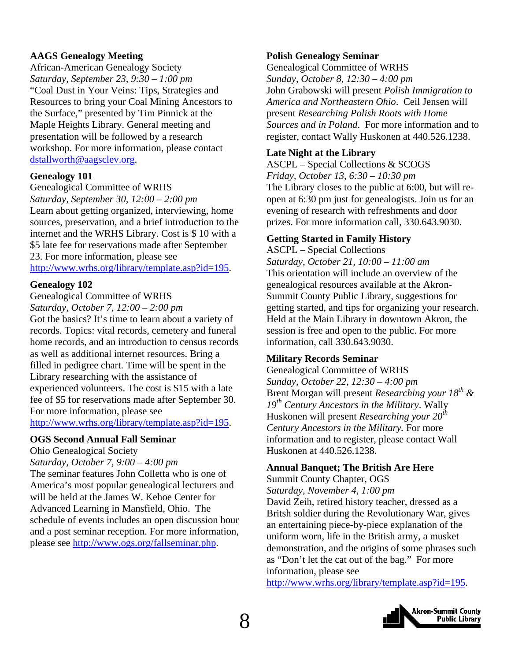#### **AAGS Genealogy Meeting**

African-American Genealogy Society *Saturday, September 23, 9:30 – 1:00 pm*  "Coal Dust in Your Veins: Tips, Strategies and Resources to bring your Coal Mining Ancestors to the Surface," presented by Tim Pinnick at the Maple Heights Library. General meeting and presentation will be followed by a research workshop. For more information, please contact [dstallworth@aagsclev.org](mailto:dstallworth@aagsclev.org).

#### **Genealogy 101**

#### Genealogical Committee of WRHS

*Saturday, September 30, 12:00 – 2:00 pm*  Learn about getting organized, interviewing, home sources, preservation, and a brief introduction to the internet and the WRHS Library. Cost is \$ 10 with a \$5 late fee for reservations made after September 23. For more information, please see <http://www.wrhs.org/library/template.asp?id=195>.

#### **Genealogy 102**

#### Genealogical Committee of WRHS

*Saturday, October 7, 12:00 – 2:00 pm* 

Got the basics? It's time to learn about a variety of records. Topics: vital records, cemetery and funeral home records, and an introduction to census records as well as additional internet resources. Bring a filled in pedigree chart. Time will be spent in the Library researching with the assistance of experienced volunteers. The cost is \$15 with a late fee of \$5 for reservations made after September 30. For more information, please see

<http://www.wrhs.org/library/template.asp?id=195>.

#### **OGS Second Annual Fall Seminar**

Ohio Genealogical Society

*Saturday, October 7, 9:00 – 4:00 pm*  The seminar features John Colletta who is one of America's most popular genealogical lecturers and will be held at the James W. Kehoe Center for Advanced Learning in Mansfield, Ohio. The schedule of events includes an open discussion hour and a post seminar reception. For more information, please see [http://www.ogs.org/fallseminar.php.](http://www.ogs.org/fallseminar.php)

#### **Polish Genealogy Seminar**

Genealogical Committee of WRHS *Sunday, October 8, 12:30 – 4:00 pm* John Grabowski will present *Polish Immigration to America and Northeastern Ohio*. Ceil Jensen will present *Researching Polish Roots with Home Sources and in Poland*. For more information and to register, contact Wally Huskonen at 440.526.1238.

#### **Late Night at the Library**

ASCPL – Special Collections & SCOGS *Friday, October 13, 6:30 – 10:30 pm*  The Library closes to the public at 6:00, but will reopen at 6:30 pm just for genealogists. Join us for an evening of research with refreshments and door prizes. For more information call, 330.643.9030.

#### **Getting Started in Family History**

ASCPL – Special Collections *Saturday, October 21, 10:00 – 11:00 am* This orientation will include an overview of the genealogical resources available at the Akron-Summit County Public Library, suggestions for getting started, and tips for organizing your research. Held at the Main Library in downtown Akron, the session is free and open to the public. For more information, call 330.643.9030.

#### **Military Records Seminar**

Genealogical Committee of WRHS *Sunday, October 22, 12:30 – 4:00 pm*  Brent Morgan will present *Researching your 18th & 19th Century Ancestors in the Military*. Wally Huskonen will present *Researching your 20th Century Ancestors in the Military.* For more information and to register, please contact Wall Huskonen at 440.526.1238.

### **Annual Banquet; The British Are Here**

Summit County Chapter, OGS

*Saturday, November 4, 1:00 pm* 

David Zeih, retired history teacher, dressed as a Britsh soldier during the Revolutionary War, gives an entertaining piece-by-piece explanation of the uniform worn, life in the British army, a musket demonstration, and the origins of some phrases such as "Don't let the cat out of the bag." For more information, please see

[http://www.wrhs.org/library/template.asp?id=195.](http://www.wrhs.org/library/template.asp?id=195)

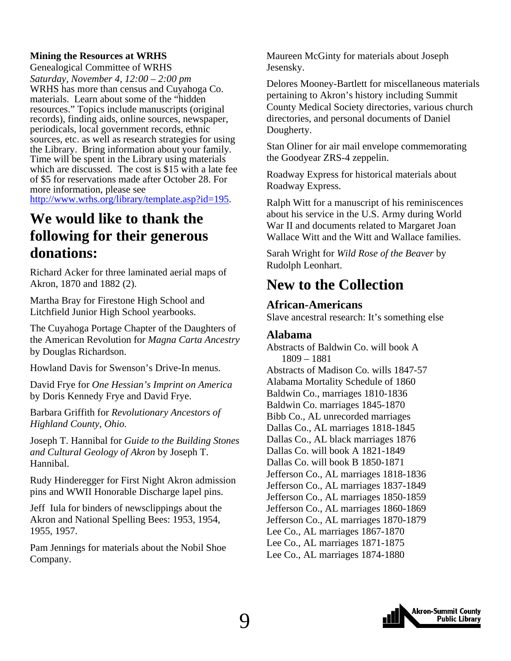#### <span id="page-8-0"></span>**Mining the Resources at WRHS**

Genealogical Committee of WRHS *Saturday, November 4, 12:00 – 2:00 pm* 

WRHS has more than census and Cuyahoga Co. materials. Learn about some of the "hidden resources." Topics include manuscripts (original records), finding aids, online sources, newspaper, periodicals, local government records, ethnic sources, etc. as well as research strategies for using the Library. Bring information about your family. Time will be spent in the Library using materials which are discussed. The cost is \$15 with a late fee of \$5 for reservations made after October 28. For more information, please see

<http://www.wrhs.org/library/template.asp?id=195>.

### **We would like to thank the following for their generous donations:**

Richard Acker for three laminated aerial maps of Akron, 1870 and 1882 (2).

Martha Bray for Firestone High School and Litchfield Junior High School yearbooks.

The Cuyahoga Portage Chapter of the Daughters of the American Revolution for *Magna Carta Ancestry*  by Douglas Richardson.

Howland Davis for Swenson's Drive-In menus.

David Frye for *One Hessian's Imprint on America*  by Doris Kennedy Frye and David Frye.

Barbara Griffith for *Revolutionary Ancestors of Highland County, Ohio.*

Joseph T. Hannibal for *Guide to the Building Stones and Cultural Geology of Akron* by Joseph T. Hannibal.

Rudy Hinderegger for First Night Akron admission pins and WWII Honorable Discharge lapel pins.

Jeff Iula for binders of newsclippings about the Akron and National Spelling Bees: 1953, 1954, 1955, 1957.

Pam Jennings for materials about the Nobil Shoe Company.

Maureen McGinty for materials about Joseph Jesensky.

Delores Mooney-Bartlett for miscellaneous materials pertaining to Akron's history including Summit County Medical Society directories, various church directories, and personal documents of Daniel Dougherty.

Stan Oliner for air mail envelope commemorating the Goodyear ZRS-4 zeppelin.

Roadway Express for historical materials about Roadway Express.

Ralph Witt for a manuscript of his reminiscences about his service in the U.S. Army during World War II and documents related to Margaret Joan Wallace Witt and the Witt and Wallace families.

Sarah Wright for *Wild Rose of the Beaver* by Rudolph Leonhart.

### **New to the Collection**

#### **African-Americans**

Slave ancestral research: It's something else

#### **Alabama**

Abstracts of Baldwin Co. will book A 1809 – 1881 Abstracts of Madison Co. wills 1847-57 Alabama Mortality Schedule of 1860 Baldwin Co., marriages 1810-1836 Baldwin Co. marriages 1845-1870 Bibb Co., AL unrecorded marriages Dallas Co., AL marriages 1818-1845 Dallas Co., AL black marriages 1876 Dallas Co. will book A 1821-1849 Dallas Co. will book B 1850-1871 Jefferson Co., AL marriages 1818-1836 Jefferson Co., AL marriages 1837-1849 Jefferson Co., AL marriages 1850-1859 Jefferson Co., AL marriages 1860-1869 Jefferson Co., AL marriages 1870-1879 Lee Co., AL marriages 1867-1870 Lee Co., AL marriages 1871-1875 Lee Co., AL marriages 1874-1880

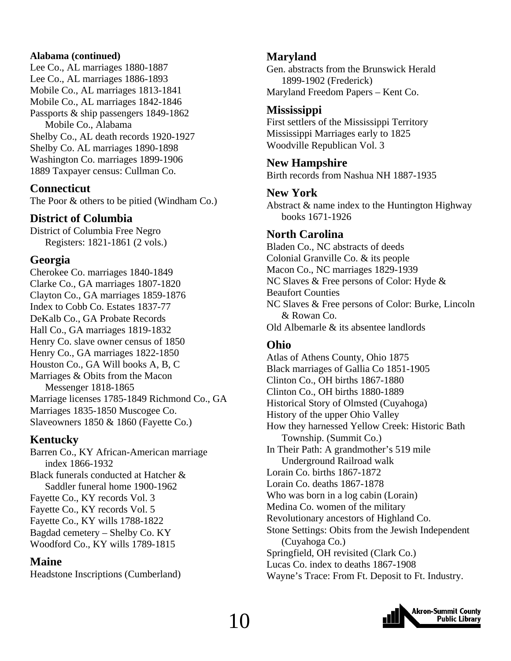#### **Alabama (continued)**

Lee Co., AL marriages 1880-1887 Lee Co., AL marriages 1886-1893 Mobile Co., AL marriages 1813-1841 Mobile Co., AL marriages 1842-1846 Passports & ship passengers 1849-1862 Mobile Co., Alabama Shelby Co., AL death records 1920-1927 Shelby Co. AL marriages 1890-1898 Washington Co. marriages 1899-1906 1889 Taxpayer census: Cullman Co.

#### **Connecticut**

The Poor & others to be pitied (Windham Co.)

#### **District of Columbia**

District of Columbia Free Negro Registers: 1821-1861 (2 vols.)

#### **Georgia**

Cherokee Co. marriages 1840-1849 Clarke Co., GA marriages 1807-1820 Clayton Co., GA marriages 1859-1876 Index to Cobb Co. Estates 1837-77 DeKalb Co., GA Probate Records Hall Co., GA marriages 1819-1832 Henry Co. slave owner census of 1850 Henry Co., GA marriages 1822-1850 Houston Co., GA Will books A, B, C Marriages & Obits from the Macon Messenger 1818-1865 Marriage licenses 1785-1849 Richmond Co., GA Marriages 1835-1850 Muscogee Co. Slaveowners 1850 & 1860 (Fayette Co.)

#### **Kentucky**

Barren Co., KY African-American marriage index 1866-1932 Black funerals conducted at Hatcher & Saddler funeral home 1900-1962 Fayette Co., KY records Vol. 3 Fayette Co., KY records Vol. 5 Fayette Co., KY wills 1788-1822 Bagdad cemetery – Shelby Co. KY Woodford Co., KY wills 1789-1815

#### **Maine**

Headstone Inscriptions (Cumberland)

#### **Maryland**

Gen. abstracts from the Brunswick Herald 1899-1902 (Frederick) Maryland Freedom Papers – Kent Co.

#### **Mississippi**

First settlers of the Mississippi Territory Mississippi Marriages early to 1825 Woodville Republican Vol. 3

#### **New Hampshire**

Birth records from Nashua NH 1887-1935

#### **New York**

Abstract & name index to the Huntington Highway books 1671-1926

#### **North Carolina**

Bladen Co., NC abstracts of deeds Colonial Granville Co. & its people Macon Co., NC marriages 1829-1939 NC Slaves & Free persons of Color: Hyde & Beaufort Counties NC Slaves & Free persons of Color: Burke, Lincoln & Rowan Co. Old Albemarle & its absentee landlords

#### **Ohio**

Atlas of Athens County, Ohio 1875 Black marriages of Gallia Co 1851-1905 Clinton Co., OH births 1867-1880 Clinton Co., OH births 1880-1889 Historical Story of Olmsted (Cuyahoga) History of the upper Ohio Valley How they harnessed Yellow Creek: Historic Bath Township. (Summit Co.) In Their Path: A grandmother's 519 mile Underground Railroad walk Lorain Co. births 1867-1872 Lorain Co. deaths 1867-1878 Who was born in a log cabin (Lorain) Medina Co. women of the military Revolutionary ancestors of Highland Co. Stone Settings: Obits from the Jewish Independent (Cuyahoga Co.) Springfield, OH revisited (Clark Co.) Lucas Co. index to deaths 1867-1908 Wayne's Trace: From Ft. Deposit to Ft. Industry.

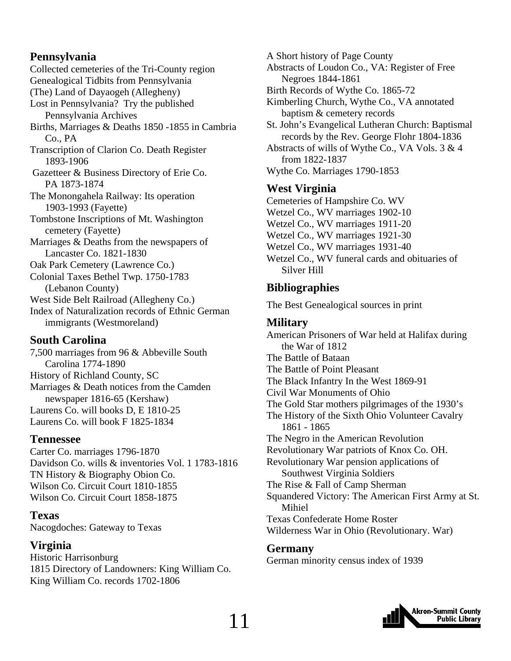#### **Pennsylvania**

Collected cemeteries of the Tri-County region Genealogical Tidbits from Pennsylvania (The) Land of Dayaogeh (Allegheny) Lost in Pennsylvania? Try the published Pennsylvania Archives Births, Marriages & Deaths 1850 -1855 in Cambria Co., PA Transcription of Clarion Co. Death Register 1893-1906 Gazetteer & Business Directory of Erie Co. PA 1873-1874 The Monongahela Railway: Its operation 1903-1993 (Fayette) Tombstone Inscriptions of Mt. Washington cemetery (Fayette) Marriages & Deaths from the newspapers of Lancaster Co. 1821-1830 Oak Park Cemetery (Lawrence Co.) Colonial Taxes Bethel Twp. 1750-1783 (Lebanon County) West Side Belt Railroad (Allegheny Co.) Index of Naturalization records of Ethnic German immigrants (Westmoreland)

#### **South Carolina**

7,500 marriages from 96 & Abbeville South Carolina 1774-1890 History of Richland County, SC Marriages & Death notices from the Camden newspaper 1816-65 (Kershaw) Laurens Co. will books D, E 1810-25 Laurens Co. will book F 1825-1834

#### **Tennessee**

Carter Co. marriages 1796-1870 Davidson Co. wills & inventories Vol. 1 1783-1816 TN History & Biography Obion Co. Wilson Co. Circuit Court 1810-1855 Wilson Co. Circuit Court 1858-1875

**Texas**  Nacogdoches: Gateway to Texas

#### **Virginia**

Historic Harrisonburg 1815 Directory of Landowners: King William Co. King William Co. records 1702-1806

A Short history of Page County

- Abstracts of Loudon Co., VA: Register of Free Negroes 1844-1861
- Birth Records of Wythe Co. 1865-72
- Kimberling Church, Wythe Co., VA annotated baptism & cemetery records
- St. John's Evangelical Lutheran Church: Baptismal records by the Rev. George Flohr 1804-1836

Abstracts of wills of Wythe Co., VA Vols. 3 & 4 from 1822-1837

Wythe Co. Marriages 1790-1853

#### **West Virginia**

Cemeteries of Hampshire Co. WV Wetzel Co., WV marriages 1902-10 Wetzel Co., WV marriages 1911-20 Wetzel Co., WV marriages 1921-30 Wetzel Co., WV marriages 1931-40 Wetzel Co., WV funeral cards and obituaries of Silver Hill

#### **Bibliographies**

The Best Genealogical sources in print

#### **Military**

American Prisoners of War held at Halifax during the War of 1812 The Battle of Bataan The Battle of Point Pleasant The Black Infantry In the West 1869-91 Civil War Monuments of Ohio The Gold Star mothers pilgrimages of the 1930's The History of the Sixth Ohio Volunteer Cavalry 1861 - 1865 The Negro in the American Revolution Revolutionary War patriots of Knox Co. OH. Revolutionary War pension applications of Southwest Virginia Soldiers The Rise & Fall of Camp Sherman Squandered Victory: The American First Army at St. Mihiel Texas Confederate Home Roster Wilderness War in Ohio (Revolutionary. War)

#### **Germany**

German minority census index of 1939